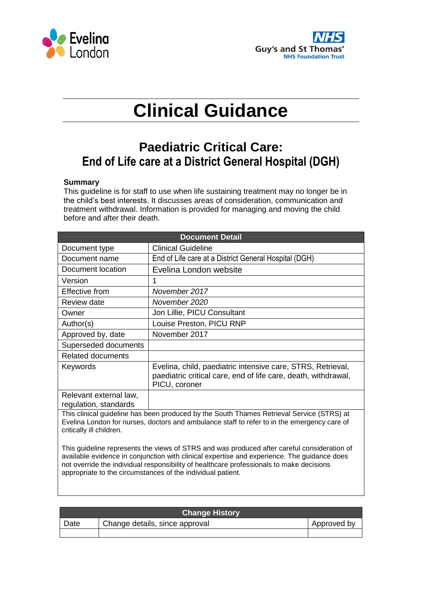



# **Clinical Guidance**

## **Paediatric Critical Care: End of Life care at a District General Hospital (DGH)**

#### **Summary**

This guideline is for staff to use when life sustaining treatment may no longer be in the child's best interests. It discusses areas of consideration, communication and treatment withdrawal. Information is provided for managing and moving the child before and after their death.

| <b>Document Detail</b>                                                                                                                                                                                               |                                                                                                                                                |  |
|----------------------------------------------------------------------------------------------------------------------------------------------------------------------------------------------------------------------|------------------------------------------------------------------------------------------------------------------------------------------------|--|
| Document type                                                                                                                                                                                                        | <b>Clinical Guideline</b>                                                                                                                      |  |
| Document name                                                                                                                                                                                                        | End of Life care at a District General Hospital (DGH)                                                                                          |  |
| Document location                                                                                                                                                                                                    | Evelina London website                                                                                                                         |  |
| Version                                                                                                                                                                                                              |                                                                                                                                                |  |
| Effective from                                                                                                                                                                                                       | November 2017                                                                                                                                  |  |
| Review date                                                                                                                                                                                                          | November 2020                                                                                                                                  |  |
| Owner                                                                                                                                                                                                                | Jon Lillie, PICU Consultant                                                                                                                    |  |
| Author(s)                                                                                                                                                                                                            | Louise Preston, PICU RNP                                                                                                                       |  |
| Approved by, date                                                                                                                                                                                                    | November 2017                                                                                                                                  |  |
| Superseded documents                                                                                                                                                                                                 |                                                                                                                                                |  |
| <b>Related documents</b>                                                                                                                                                                                             |                                                                                                                                                |  |
| Keywords                                                                                                                                                                                                             | Evelina, child, paediatric intensive care, STRS, Retrieval,<br>paediatric critical care, end of life care, death, withdrawal,<br>PICU, coroner |  |
| Relevant external law,<br>regulation, standards                                                                                                                                                                      |                                                                                                                                                |  |
| This clinical guideline has been produced by the South Thames Retrieval Service (STRS) at<br>Evelina London for nurses, doctors and ambulance staff to refer to in the emergency care of<br>critically ill children. |                                                                                                                                                |  |

This guideline represents the views of STRS and was produced after careful consideration of available evidence in conjunction with clinical expertise and experience. The guidance does not override the individual responsibility of healthcare professionals to make decisions appropriate to the circumstances of the individual patient.

| <b>Change History</b> |                                |             |
|-----------------------|--------------------------------|-------------|
| Date                  | Change details, since approval | Approved by |
|                       |                                |             |